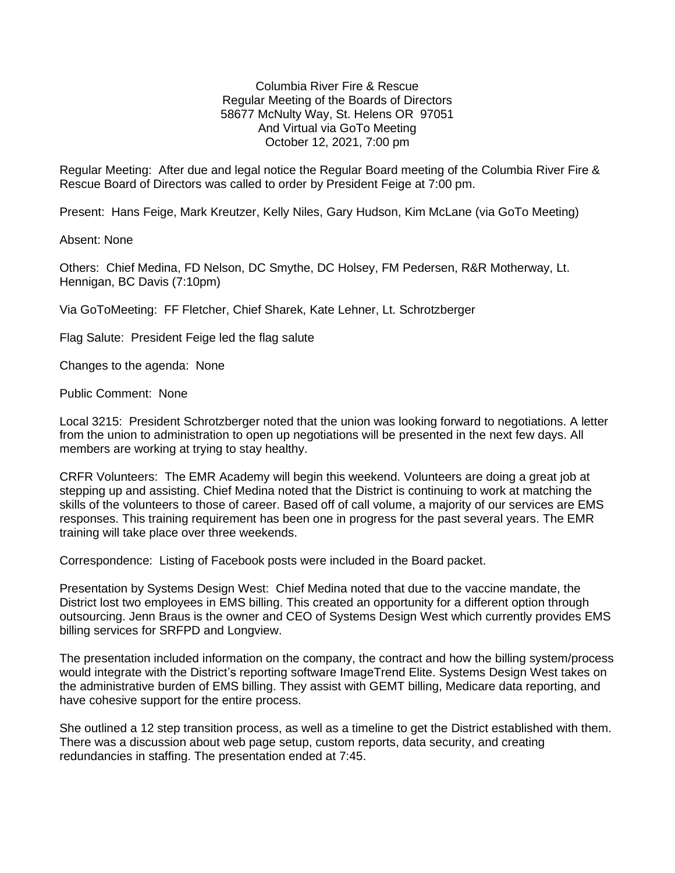Columbia River Fire & Rescue Regular Meeting of the Boards of Directors 58677 McNulty Way, St. Helens OR 97051 And Virtual via GoTo Meeting October 12, 2021, 7:00 pm

Regular Meeting: After due and legal notice the Regular Board meeting of the Columbia River Fire & Rescue Board of Directors was called to order by President Feige at 7:00 pm.

Present: Hans Feige, Mark Kreutzer, Kelly Niles, Gary Hudson, Kim McLane (via GoTo Meeting)

Absent: None

Others: Chief Medina, FD Nelson, DC Smythe, DC Holsey, FM Pedersen, R&R Motherway, Lt. Hennigan, BC Davis (7:10pm)

Via GoToMeeting: FF Fletcher, Chief Sharek, Kate Lehner, Lt. Schrotzberger

Flag Salute: President Feige led the flag salute

Changes to the agenda: None

Public Comment: None

Local 3215: President Schrotzberger noted that the union was looking forward to negotiations. A letter from the union to administration to open up negotiations will be presented in the next few days. All members are working at trying to stay healthy.

CRFR Volunteers: The EMR Academy will begin this weekend. Volunteers are doing a great job at stepping up and assisting. Chief Medina noted that the District is continuing to work at matching the skills of the volunteers to those of career. Based off of call volume, a majority of our services are EMS responses. This training requirement has been one in progress for the past several years. The EMR training will take place over three weekends.

Correspondence: Listing of Facebook posts were included in the Board packet.

Presentation by Systems Design West: Chief Medina noted that due to the vaccine mandate, the District lost two employees in EMS billing. This created an opportunity for a different option through outsourcing. Jenn Braus is the owner and CEO of Systems Design West which currently provides EMS billing services for SRFPD and Longview.

The presentation included information on the company, the contract and how the billing system/process would integrate with the District's reporting software ImageTrend Elite. Systems Design West takes on the administrative burden of EMS billing. They assist with GEMT billing, Medicare data reporting, and have cohesive support for the entire process.

She outlined a 12 step transition process, as well as a timeline to get the District established with them. There was a discussion about web page setup, custom reports, data security, and creating redundancies in staffing. The presentation ended at 7:45.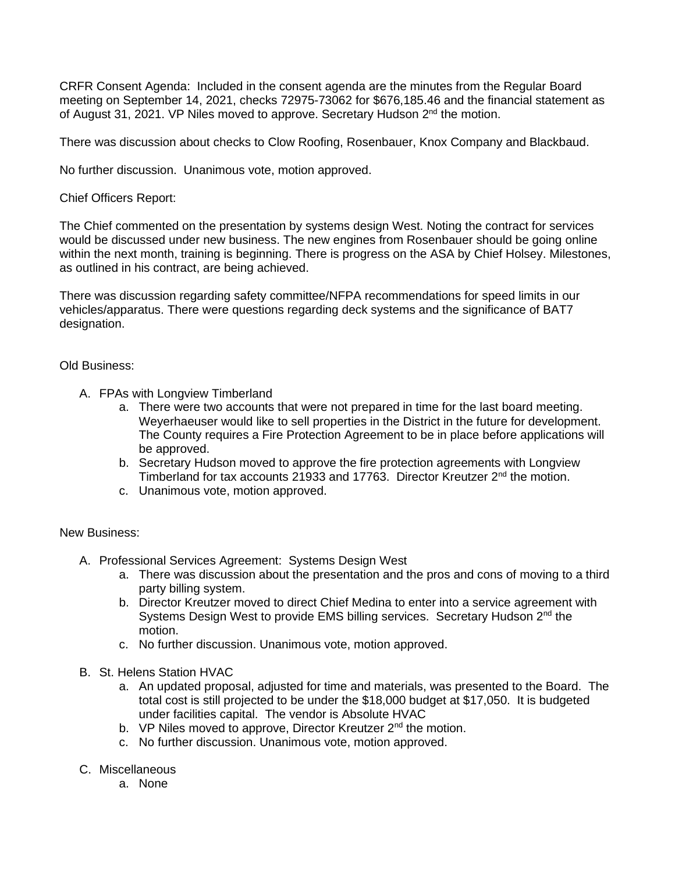CRFR Consent Agenda: Included in the consent agenda are the minutes from the Regular Board meeting on September 14, 2021, checks 72975-73062 for \$676,185.46 and the financial statement as of August 31, 2021. VP Niles moved to approve. Secretary Hudson 2<sup>nd</sup> the motion.

There was discussion about checks to Clow Roofing, Rosenbauer, Knox Company and Blackbaud.

No further discussion. Unanimous vote, motion approved.

Chief Officers Report:

The Chief commented on the presentation by systems design West. Noting the contract for services would be discussed under new business. The new engines from Rosenbauer should be going online within the next month, training is beginning. There is progress on the ASA by Chief Holsey. Milestones, as outlined in his contract, are being achieved.

There was discussion regarding safety committee/NFPA recommendations for speed limits in our vehicles/apparatus. There were questions regarding deck systems and the significance of BAT7 designation.

## Old Business:

- A. FPAs with Longview Timberland
	- a. There were two accounts that were not prepared in time for the last board meeting. Weyerhaeuser would like to sell properties in the District in the future for development. The County requires a Fire Protection Agreement to be in place before applications will be approved.
	- b. Secretary Hudson moved to approve the fire protection agreements with Longview Timberland for tax accounts 21933 and 17763. Director Kreutzer 2<sup>nd</sup> the motion.
	- c. Unanimous vote, motion approved.

## New Business:

- A. Professional Services Agreement: Systems Design West
	- a. There was discussion about the presentation and the pros and cons of moving to a third party billing system.
	- b. Director Kreutzer moved to direct Chief Medina to enter into a service agreement with Systems Design West to provide EMS billing services. Secretary Hudson 2<sup>nd</sup> the motion.
	- c. No further discussion. Unanimous vote, motion approved.
- B. St. Helens Station HVAC
	- a. An updated proposal, adjusted for time and materials, was presented to the Board. The total cost is still projected to be under the \$18,000 budget at \$17,050. It is budgeted under facilities capital. The vendor is Absolute HVAC
	- b. VP Niles moved to approve, Director Kreutzer 2<sup>nd</sup> the motion.
	- c. No further discussion. Unanimous vote, motion approved.
- C. Miscellaneous
	- a. None